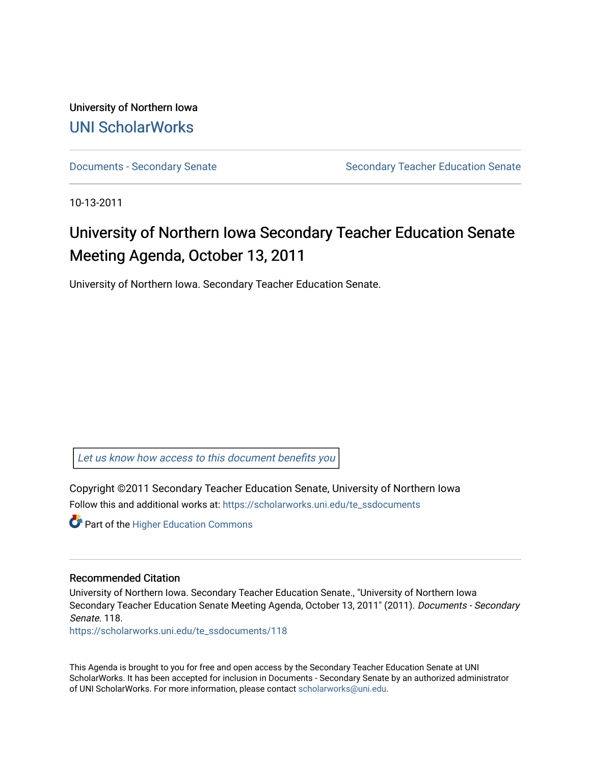University of Northern Iowa [UNI ScholarWorks](https://scholarworks.uni.edu/) 

[Documents - Secondary Senate](https://scholarworks.uni.edu/te_ssdocuments) Senate Secondary Teacher Education Senate

10-13-2011

# University of Northern Iowa Secondary Teacher Education Senate Meeting Agenda, October 13, 2011

University of Northern Iowa. Secondary Teacher Education Senate.

[Let us know how access to this document benefits you](https://scholarworks.uni.edu/feedback_form.html) 

Copyright ©2011 Secondary Teacher Education Senate, University of Northern Iowa Follow this and additional works at: [https://scholarworks.uni.edu/te\\_ssdocuments](https://scholarworks.uni.edu/te_ssdocuments?utm_source=scholarworks.uni.edu%2Fte_ssdocuments%2F118&utm_medium=PDF&utm_campaign=PDFCoverPages) 

**Part of the Higher Education Commons** 

#### Recommended Citation

University of Northern Iowa. Secondary Teacher Education Senate., "University of Northern Iowa Secondary Teacher Education Senate Meeting Agenda, October 13, 2011" (2011). Documents - Secondary Senate. 118.

[https://scholarworks.uni.edu/te\\_ssdocuments/118](https://scholarworks.uni.edu/te_ssdocuments/118?utm_source=scholarworks.uni.edu%2Fte_ssdocuments%2F118&utm_medium=PDF&utm_campaign=PDFCoverPages) 

This Agenda is brought to you for free and open access by the Secondary Teacher Education Senate at UNI ScholarWorks. It has been accepted for inclusion in Documents - Secondary Senate by an authorized administrator of UNI ScholarWorks. For more information, please contact [scholarworks@uni.edu](mailto:scholarworks@uni.edu).